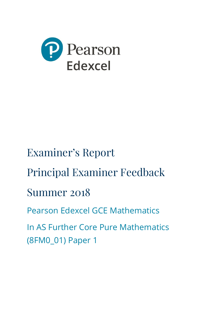

# Examiner's Report

Principal Examiner Feedback

# Summer 2018

Pearson Edexcel GCE Mathematics

In AS Further Core Pure Mathematics (8FM0\_01) Paper 1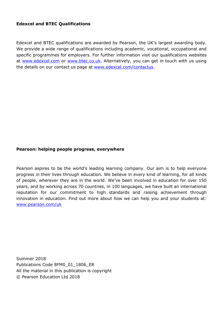#### **Edexcel and BTEC Qualifications**

Edexcel and BTEC qualifications are awarded by Pearson, the UK's largest awarding body. We provide a wide range of qualifications including academic, vocational, occupational and specific programmes for employers. For further information visit our qualifications websites at [www.edexcel.com](http://www.edexcel.com/) or [www.btec.co.uk.](http://www.btec.co.uk/) Alternatively, you can get in touch with us using the details on our contact us page at [www.edexcel.com/contactus.](http://www.edexcel.com/contactus)

#### **Pearson: helping people progress, everywhere**

Pearson aspires to be the world's leading learning company. Our aim is to help everyone progress in their lives through education. We believe in every kind of learning, for all kinds of people, wherever they are in the world. We've been involved in education for over 150 years, and by working across 70 countries, in 100 languages, we have built an international reputation for our commitment to high standards and raising achievement through innovation in education. Find out more about how we can help you and your students at: [www.pearson.com/uk](http://www.pearson.com/uk)

Summer 2018 Publications Code 8FM0\_01\_1806\_ER All the material in this publication is copyright © Pearson Education Ltd 2018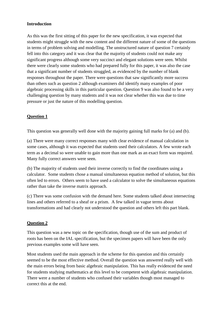#### **Introduction**

As this was the first sitting of this paper for the new specification, it was expected that students might struggle with the new content and the different nature of some of the questions in terms of problem solving and modelling. The unstructured nature of question 7 certainly fell into this category and it was clear that the majority of students could not make any significant progress although some very succinct and elegant solutions were seen. Whilst there were clearly some students who had prepared fully for this paper, it was also the case that a significant number of students struggled, as evidenced by the number of blank responses throughout the paper. There were questions that saw significantly more success than others such as question 2 although examiners did identify many examples of poor algebraic processing skills in this particular question. Question 9 was also found to be a very challenging question by many students and it was not clear whether this was due to time pressure or just the nature of this modelling question.

#### **Question 1**

This question was generally well done with the majority gaining full marks for (a) and (b).

(a) There were many correct responses many with clear evidence of manual calculation in some cases, although it was expected that students used their calculators. A few wrote each term as a decimal so were unable to gain more than one mark as an exact form was required. Many fully correct answers were seen.

(b) The majority of students used their inverse correctly to find the coordinates using a calculator. Some students chose a manual simultaneous equation method of solution, but this often led to errors. Others seem to have used a calculator to solve the simultaneous equations rather than take the inverse matrix approach.

(c) There was some confusion with the demand here. Some students talked about intersecting lines and others referred to a sheaf or a prism. A few talked in vague terms about transformations and had clearly not understood the question and others left this part blank.

#### **Question 2**

This question was a new topic on the specification, though use of the sum and product of roots has been on the IAL specification, but the specimen papers will have been the only previous examples some will have seen.

Most students used the main approach in the scheme for this question and this certainly seemed to be the most effective method. Overall the question was answered really well with the main errors being from basic algebraic manipulation. This has really evidenced the need for students studying mathematics at this level to be competent with algebraic manipulation. There were a number of students who confused their variables though most managed to correct this at the end.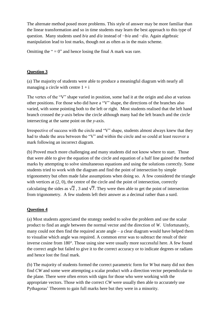The alternate method posed more problems. This style of answer may be more familiar than the linear transformation and so in time students may learn the best approach to this type of question. Many students used *b/a* and *d/a* instead of −*b/a* and −*d/a*. Again algebraic manipulation lead to lost marks, though not as often as in the main scheme.

Omitting the " $= 0$ " and hence losing the final A mark was rare.

#### **Question 3**

(a) The majority of students were able to produce a meaningful diagram with nearly all managing a circle with centre  $1 + i$ 

The vertex of the "V" shape varied in position, some had it at the origin and also at various other positions. For those who did have a "V" shape, the directions of the branches also varied, with some pointing both to the left or right. Most students realised that the left hand branch crossed the *y*-axis below the circle although many had the left branch and the circle intersecting at the same point on the *y*-axis.

Irrespective of success with the circle and "V" shape, students almost always knew that they had to shade the area between the "V" and within the circle and so could at least recover a mark following an incorrect diagram.

(b) Proved much more challenging and many students did not know where to start. Those that were able to give the equation of the circle and equation of a half line gained the method marks by attempting to solve simultaneous equations and using the solutions correctly. Some students tried to work with the diagram and find the point of intersection by simple trigonometry but often made false assumptions when doing so. A few considered the triangle with vertices at  $(2, 0)$ , the centre of the circle and the point of intersection, correctly calculating the sides as  $\sqrt{2}$ , 3 and  $\sqrt{7}$ . They were then able to get the point of intersection from trigonometry. A few students left their answer as a decimal rather than a surd.

#### **Question 4**

(a) Most students appreciated the strategy needed to solve the problem and use the scalar product to find an angle between the normal vector and the direction of *W*. Unfortunately, many could not then find the required acute angle – a clear diagram would have helped them to visualise which angle was required. A common error was to subtract the result of their inverse cosine from 180°. Those using sine were usually more successful here. A few found the correct angle but failed to give it to the correct accuracy or to indicate degrees or radians and hence lost the final mark.

(b) The majority of students formed the correct parametric form for *W* but many did not then find *CW* and some were attempting a scalar product with a direction vector perpendicular to the plane. There were often errors with signs for those who were working with the appropriate vectors. Those with the correct *CW* were usually then able to accurately use Pythagoras' Theorem to gain full marks here but they were in a minority.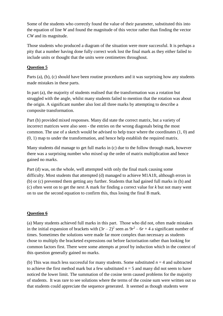Some of the students who correctly found the value of their parameter, substituted this into the equation of line *W* and found the magnitude of this vector rather than finding the vector *CW* and its magnitude.

Those students who produced a diagram of the situation were more successful. It is perhaps a pity that a number having done fully correct work lost the final mark as they either failed to include units or thought that the units were centimetres throughout.

#### **Question 5**

Parts (a), (b), (c) should have been routine procedures and it was surprising how any students made mistakes in these parts.

In part (a), the majority of students realised that the transformation was a rotation but struggled with the angle, whilst many students failed to mention that the rotation was about the origin. A significant number also lost all three marks by attempting to describe a composite transformation.

Part (b) provided mixed responses. Many did state the correct matrix, but a variety of incorrect matrices were also seen - the entries on the wrong diagonals being the most common. The use of a sketch would be advised to help trace where the coordinates (1, 0) and (0, 1) map to under the transformation, and hence help establish the required matrix.

Many students did manage to get full marks in (c) due to the follow through mark, however there was a surprising number who mixed up the order of matrix multiplication and hence gained no marks.

Part (d) was, on the whole, well attempted with only the final mark causing some difficulty. Most students that attempted (d) managed to achieve M1A1ft, although errors in (b) or (c) prevented them getting any further. Students that had gained full marks in (b) and (c) often went on to get the next A mark for finding a correct value for *k* but not many went on to use the second equation to confirm this, thus losing the final B mark.

#### **Question 6**

(a) Many students achieved full marks in this part. Those who did not, often made mistakes in the initial expansion of brackets with  $(3r-2)^2$  seen as  $9r^2 - 6r + 4$  a significant number of times. Sometimes the solutions were made far more complex than necessary as students chose to multiply the bracketed expressions out before factorisation rather than looking for common factors first. There were some attempts at proof by induction which in the context of this question generally gained no marks.

(b) This was much less successful for many students. Some substituted  $n = 4$  and subtracted to achieve the first method mark but a few substituted  $n = 5$  and many did not seem to have noticed the lower limit. The summation of the cosine term caused problems for the majority of students. It was rare to see solutions where the terms of the cosine sum were written out so that students could appreciate the sequence generated. It seemed as though students were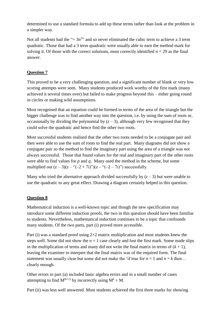determined to use a standard formula to add up these terms rather than look at the problem in a simpler way.

Not all students had the " $= 3n<sup>3</sup>$ " and so never eliminated the cubic term to achieve a 3 term quadratic. Those that had a 3 term quadratic were usually able to earn the method mark for solving it. Of those with the correct solutions, most correctly identified  $n = 29$  as the final answer.

## **Question 7**

This proved to be a very challenging question, and a significant number of blank or very low scoring attempts were seen. Many students produced work worthy of the first mark (many achieved it several times over) but failed to make progress beyond this – either going round in circles or making wild assumptions.

Most recognised that an equation could be formed in terms of the area of the triangle but the bigger challenge was to find another way into the question, i.e. by using the sum of roots or, occasionally by dividing the polynomial by  $(z - 3)$ , although very few recognised that they could solve the quadratic and hence find the other two roots.

Most successful students realised that the other two roots needed to be a conjugate pair and then were able to use the sum of roots to find the real part. Many diagrams did not show a conjugate pair so the method to find the imaginary part using the area of a triangle was not always successful. Those that found values for the real and imaginary part of the other roots were able to find values for *p* and *q*. Many used the method in the scheme, but some multiplied out  $(z - 3)(z - ((-2 + 7i)))(z - ((-2 - 7i)))$  successfully.

Many who tried the alternative approach divided successfully by  $(z - 3)$  but were unable to use the quadratic to any great effect. Drawing a diagram certainly helped in this question.

#### **Question 8**

Mathematical induction is a well-known topic and though the new specification may introduce some different induction proofs, the two in this question should have been familiar to students. Nevertheless, mathematical induction continues to be a topic that confounds many students. Of the two parts, part (i) proved more accessible.

Part (i) was a standard proof using  $2\times 2$  matrix multiplication and most students knew the steps well. Some did not show the  $n = 1$  case clearly and lost the first mark. Some made slips in the multiplication of terms and many did not write the final matrix in terms of  $(k + 1)$ , leaving the examiner to interpret that the final matrix was of the required form. The final statement was usually clear but some did not make the 'if true for  $n = 1$  and  $n = k$  then... clearly enough.

Other errors in part (a) included basic algebra errors and in a small number of cases attempting to find  $M^{(k+1)}$  by incorrectly using  $M^k + M$ .

Part (ii) was less well answered. Most students achieved the first three marks for showing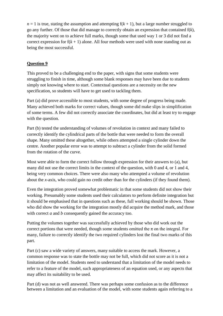$n = 1$  is true, stating the assumption and attempting  $f(k + 1)$ , but a large number struggled to go any further. Of those that did manage to correctly obtain an expression that contained f(*k*), the majority went on to achieve full marks, though some that used way 1 or 3 did not find a correct expression for  $f(k + 1)$  alone. All four methods were used with none standing out as being the most successful.

### **Question 9**

This proved to be a challenging end to the paper, with signs that some students were struggling to finish in time, although some blank responses may have been due to students simply not knowing where to start. Contextual questions are a necessity on the new specification, so students will have to get used to tackling them.

Part (a) did prove accessible to most students, with some degree of progress being made. Many achieved both marks for correct values, though some did make slips in simplification of some terms. A few did not correctly associate the coordinates, but did at least try to engage with the question.

Part (b) tested the understanding of volumes of revolution in context and many failed to correctly identify the cylindrical parts of the bottle that were needed to form the overall shape. Many omitted these altogether, while others attempted a single cylinder down the centre. Another popular error was to attempt to subtract a cylinder from the solid formed from the rotation of the curve.

Most were able to form the correct follow through expression for their answers to (a), but many did not use the correct limits in the context of the question, with 0 and 4, or 1 and 4, being very common choices. There were also many who attempted a volume of revolution about the *x*-axis, who could gain no credit other than for the cylinders (if they found them).

Even the integration proved somewhat problematic in that some students did not show their working. Presumably some students used their calculators to perform definite integration but it should be emphasised that in questions such as these, full working should be shown. Those who did show the working for the integration mostly did acquire the method mark, and those with correct *a* and *b* consequently gained the accuracy too.

Putting the volumes together was successfully achieved by those who did work out the correct portions that were needed, though some students omitted the  $\pi$  on the integral. For many, failure to correctly identify the two required cylinders lost the final two marks of this part.

Part (c) saw a wide variety of answers, many suitable to access the mark. However, a common response was to state the bottle may not be full, which did not score as it is not a limitation of the model. Students need to understand that a limitation of the model needs to refer to a feature of the model, such appropriateness of an equation used, or any aspects that may affect its suitability to be used.

Part (d) was not as well answered. There was perhaps some confusion as to the difference between a limitation and an evaluation of the model, with some students again referring to a